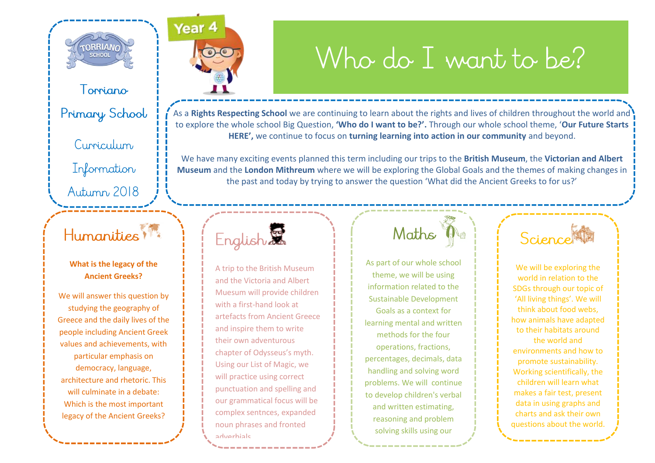

Toppiano

Primary School

Curriculum

Information

#### Autumn 2018

#### Humanities 1

#### **What is the legacy of the Ancient Greeks?**

We will answer this question by studying the geography of Greece and the daily lives of the people including Ancient Greek values and achievements, with particular emphasis on democracy, language, architecture and rhetoric. This will culminate in a debate: Which is the most important legacy of the Ancient Greeks?

Year 4

## Who do I want to be?

As a **Rights Respecting School** we are continuing to learn about the rights and lives of children throughout the world and to explore the whole school Big Question, **'Who do I want to be?'.** Through our whole school theme, '**Our Future Starts HERE',** we continue to focus on **turning learning into action in our community** and beyond.

We have many exciting events planned this term including our trips to the **British Museum**, the **Victorian and Albert Museum** and the **London Mithreum** where we will be exploring the Global Goals and the themes of making changes in the past and today by trying to answer the question 'What did the Ancient Greeks to for us?'



A trip to the British Museum and the Victoria and Albert Muesum will provide children with a first-hand look at artefacts from Ancient Greece and inspire them to write their own adventurous chapter of Odysseus's myth. Using our List of Magic, we will practice using correct punctuation and spelling and our grammatical focus will be complex sentnces, expanded noun phrases and fronted adverbials.

#### Maths

As part of our whole school theme, we will be using information related to the Sustainable Development Goals as a context for learning mental and written methods for the four operations, fractions, percentages, decimals, data handling and solving word problems. We will continue to develop children's verbal and written estimating, reasoning and problem solving skills using our

Esther Mate and Add'em

Science

We will be exploring the world in relation to the SDGs through our topic of 'All living things'. We will think about food webs, how animals have adapted to their habitats around the world and environments and how to promote sustainability. Working scientifically, the children will learn what makes a fair test, present data in using graphs and charts and ask their own questions about the world.